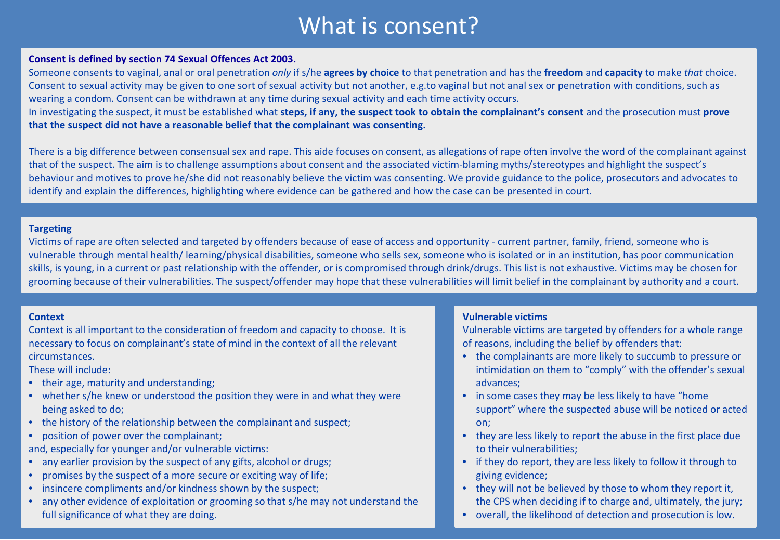# What is consent?

### **Consent is defined by section 74 Sexual Offences Act 2003.**

Someone consents to vaginal, anal or oral penetration *only* if s/he **agrees by choice** to that penetration and has the **freedom** and **capacity** to make *that* choice. Consent to sexual activity may be given to one sort of sexual activity but not another, e.g.to vaginal but not anal sex or penetration with conditions, such as wearing a condom. Consent can be withdrawn at any time during sexual activity and each time activity occurs.

In investigating the suspect, it must be established what **steps, if any, the suspect took to obtain the complainant's consent** and the prosecution must **prove that the suspect did not have a reasonable belief that the complainant was consenting.**

There is a big difference between consensual sex and rape. This aide focuses on consent, as allegations of rape often involve the word of the complainant against that of the suspect. The aim is to challenge assumptions about consent and the associated victim-blaming myths/stereotypes and highlight the suspect's behaviour and motives to prove he/she did not reasonably believe the victim was consenting. We provide guidance to the police, prosecutors and advocates to identify and explain the differences, highlighting where evidence can be gathered and how the case can be presented in court.

## **Targeting**

Victims of rape are often selected and targeted by offenders because of ease of access and opportunity - current partner, family, friend, someone who is vulnerable through mental health/ learning/physical disabilities, someone who sells sex, someone who is isolated or in an institution, has poor communication skills, is young, in a current or past relationship with the offender, or is compromised through drink/drugs. This list is not exhaustive. Victims may be chosen for grooming because of their vulnerabilities. The suspect/offender may hope that these vulnerabilities will limit belief in the complainant by authority and a court.

#### **Context**

Context is all important to the consideration of freedom and capacity to choose. It is necessary to focus on complainant's state of mind in the context of all the relevant circumstances.

These will include:

- their age, maturity and understanding;
- whether s/he knew or understood the position they were in and what they were being asked to do;
- the history of the relationship between the complainant and suspect;
- position of power over the complainant;

and, especially for younger and/or vulnerable victims:

- any earlier provision by the suspect of any gifts, alcohol or drugs;
- promises by the suspect of a more secure or exciting way of life;
- insincere compliments and/or kindness shown by the suspect;
- any other evidence of exploitation or grooming so that s/he may not understand the full significance of what they are doing.

# **Vulnerable victims**

Vulnerable victims are targeted by offenders for a whole range of reasons, including the belief by offenders that:

- the complainants are more likely to succumb to pressure or intimidation on them to "comply" with the offender's sexual advances;
- in some cases they may be less likely to have "home support" where the suspected abuse will be noticed or acted on;
- they are less likely to report the abuse in the first place due to their vulnerabilities;
- if they do report, they are less likely to follow it through to giving evidence;
- they will not be believed by those to whom they report it, the CPS when deciding if to charge and, ultimately, the jury;
- overall, the likelihood of detection and prosecution is low.